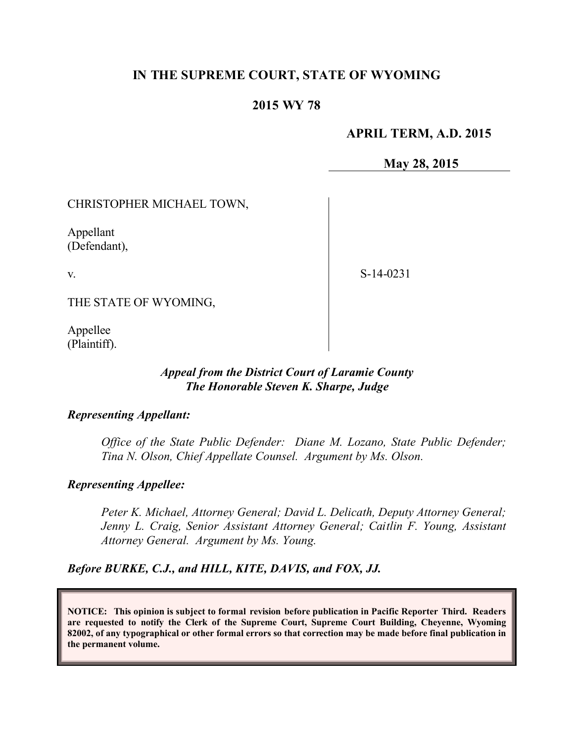# **IN THE SUPREME COURT, STATE OF WYOMING**

# **2015 WY 78**

# **APRIL TERM, A.D. 2015**

**May 28, 2015**

CHRISTOPHER MICHAEL TOWN,

Appellant (Defendant),

v.

S-14-0231

THE STATE OF WYOMING,

Appellee (Plaintiff).

#### *Appeal from the District Court of Laramie County The Honorable Steven K. Sharpe, Judge*

#### *Representing Appellant:*

*Office of the State Public Defender: Diane M. Lozano, State Public Defender; Tina N. Olson, Chief Appellate Counsel. Argument by Ms. Olson.*

### *Representing Appellee:*

*Peter K. Michael, Attorney General; David L. Delicath, Deputy Attorney General; Jenny L. Craig, Senior Assistant Attorney General; Caitlin F. Young, Assistant Attorney General. Argument by Ms. Young.*

*Before BURKE, C.J., and HILL, KITE, DAVIS, and FOX, JJ.*

**NOTICE: This opinion is subject to formal revision before publication in Pacific Reporter Third. Readers are requested to notify the Clerk of the Supreme Court, Supreme Court Building, Cheyenne, Wyoming 82002, of any typographical or other formal errors so that correction may be made before final publication in the permanent volume.**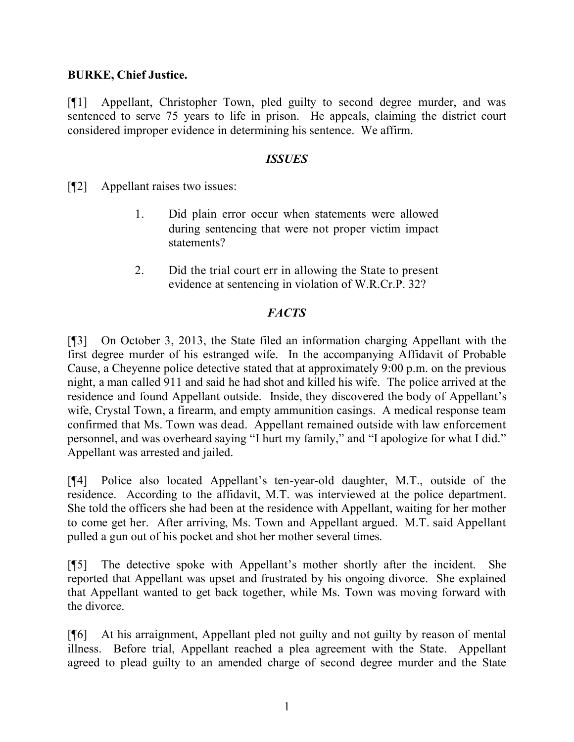# **BURKE, Chief Justice.**

[¶1] Appellant, Christopher Town, pled guilty to second degree murder, and was sentenced to serve 75 years to life in prison. He appeals, claiming the district court considered improper evidence in determining his sentence. We affirm.

### *ISSUES*

[¶2] Appellant raises two issues:

- 1. Did plain error occur when statements were allowed during sentencing that were not proper victim impact statements?
- 2. Did the trial court err in allowing the State to present evidence at sentencing in violation of W.R.Cr.P. 32?

# *FACTS*

[¶3] On October 3, 2013, the State filed an information charging Appellant with the first degree murder of his estranged wife. In the accompanying Affidavit of Probable Cause, a Cheyenne police detective stated that at approximately 9:00 p.m. on the previous night, a man called 911 and said he had shot and killed his wife. The police arrived at the residence and found Appellant outside. Inside, they discovered the body of Appellant's wife, Crystal Town, a firearm, and empty ammunition casings. A medical response team confirmed that Ms. Town was dead. Appellant remained outside with law enforcement personnel, and was overheard saying "I hurt my family," and "I apologize for what I did." Appellant was arrested and jailed.

[¶4] Police also located Appellant's ten-year-old daughter, M.T., outside of the residence. According to the affidavit, M.T. was interviewed at the police department. She told the officers she had been at the residence with Appellant, waiting for her mother to come get her. After arriving, Ms. Town and Appellant argued. M.T. said Appellant pulled a gun out of his pocket and shot her mother several times.

[¶5] The detective spoke with Appellant's mother shortly after the incident. She reported that Appellant was upset and frustrated by his ongoing divorce. She explained that Appellant wanted to get back together, while Ms. Town was moving forward with the divorce.

[¶6] At his arraignment, Appellant pled not guilty and not guilty by reason of mental illness. Before trial, Appellant reached a plea agreement with the State. Appellant agreed to plead guilty to an amended charge of second degree murder and the State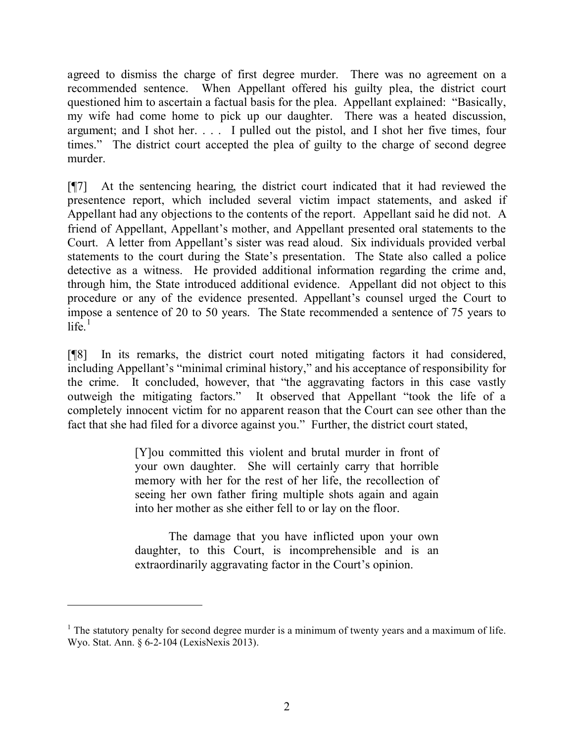agreed to dismiss the charge of first degree murder. There was no agreement on a recommended sentence. When Appellant offered his guilty plea, the district court questioned him to ascertain a factual basis for the plea. Appellant explained: "Basically, my wife had come home to pick up our daughter. There was a heated discussion, argument; and I shot her. . . . I pulled out the pistol, and I shot her five times, four times." The district court accepted the plea of guilty to the charge of second degree murder.

[¶7] At the sentencing hearing, the district court indicated that it had reviewed the presentence report, which included several victim impact statements, and asked if Appellant had any objections to the contents of the report. Appellant said he did not. A friend of Appellant, Appellant's mother, and Appellant presented oral statements to the Court. A letter from Appellant's sister was read aloud. Six individuals provided verbal statements to the court during the State's presentation. The State also called a police detective as a witness. He provided additional information regarding the crime and, through him, the State introduced additional evidence. Appellant did not object to this procedure or any of the evidence presented. Appellant's counsel urged the Court to impose a sentence of 20 to 50 years. The State recommended a sentence of 75 years to  $l$ ife $\frac{1}{2}$ 

[¶8] In its remarks, the district court noted mitigating factors it had considered, including Appellant's "minimal criminal history," and his acceptance of responsibility for the crime. It concluded, however, that "the aggravating factors in this case vastly outweigh the mitigating factors." It observed that Appellant "took the life of a completely innocent victim for no apparent reason that the Court can see other than the fact that she had filed for a divorce against you." Further, the district court stated,

> [Y]ou committed this violent and brutal murder in front of your own daughter. She will certainly carry that horrible memory with her for the rest of her life, the recollection of seeing her own father firing multiple shots again and again into her mother as she either fell to or lay on the floor.

> The damage that you have inflicted upon your own daughter, to this Court, is incomprehensible and is an extraordinarily aggravating factor in the Court's opinion.

 $1$  The statutory penalty for second degree murder is a minimum of twenty years and a maximum of life. Wyo. Stat. Ann. § 6-2-104 (LexisNexis 2013).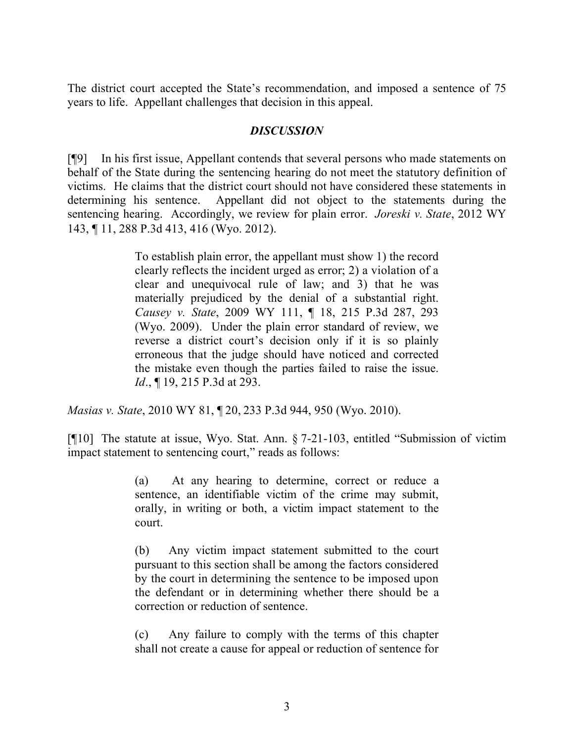The district court accepted the State's recommendation, and imposed a sentence of 75 years to life. Appellant challenges that decision in this appeal.

### *DISCUSSION*

[¶9] In his first issue, Appellant contends that several persons who made statements on behalf of the State during the sentencing hearing do not meet the statutory definition of victims. He claims that the district court should not have considered these statements in determining his sentence. Appellant did not object to the statements during the sentencing hearing. Accordingly, we review for plain error. *Joreski v. State*, 2012 WY 143, ¶ 11, 288 P.3d 413, 416 (Wyo. 2012).

> To establish plain error, the appellant must show 1) the record clearly reflects the incident urged as error; 2) a violation of a clear and unequivocal rule of law; and 3) that he was materially prejudiced by the denial of a substantial right. *Causey v. State*, 2009 WY 111, ¶ 18, 215 P.3d 287, 293 (Wyo. 2009). Under the plain error standard of review, we reverse a district court's decision only if it is so plainly erroneous that the judge should have noticed and corrected the mistake even though the parties failed to raise the issue. *Id.*, **[19, 215 P.3d at 293.**

*Masias v. State*, 2010 WY 81, ¶ 20, 233 P.3d 944, 950 (Wyo. 2010).

[¶10] The statute at issue, Wyo. Stat. Ann. § 7-21-103, entitled "Submission of victim impact statement to sentencing court," reads as follows:

> (a) At any hearing to determine, correct or reduce a sentence, an identifiable victim of the crime may submit, orally, in writing or both, a victim impact statement to the court.

> (b) Any victim impact statement submitted to the court pursuant to this section shall be among the factors considered by the court in determining the sentence to be imposed upon the defendant or in determining whether there should be a correction or reduction of sentence.

> (c) Any failure to comply with the terms of this chapter shall not create a cause for appeal or reduction of sentence for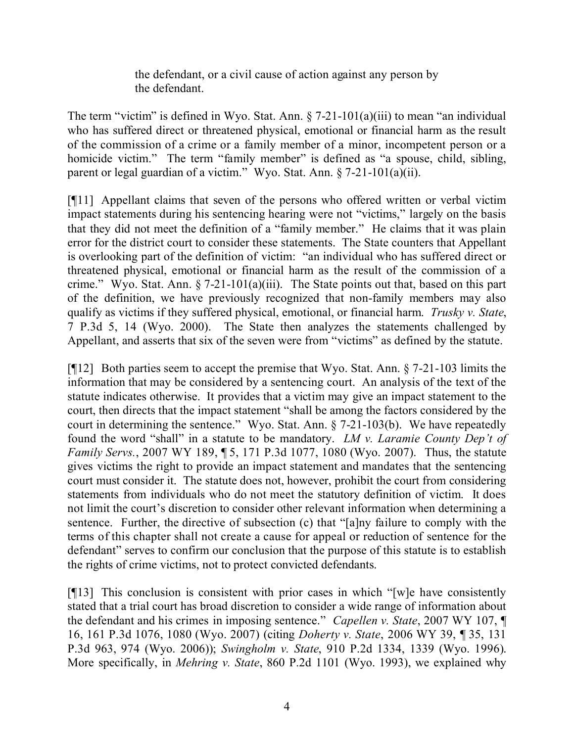the defendant, or a civil cause of action against any person by the defendant.

The term "victim" is defined in Wyo. Stat. Ann.  $\S 7-21-101(a)(iii)$  to mean "an individual who has suffered direct or threatened physical, emotional or financial harm as the result of the commission of a crime or a family member of a minor, incompetent person or a homicide victim." The term "family member" is defined as "a spouse, child, sibling, parent or legal guardian of a victim." Wyo. Stat. Ann. § 7-21-101(a)(ii).

[¶11] Appellant claims that seven of the persons who offered written or verbal victim impact statements during his sentencing hearing were not "victims," largely on the basis that they did not meet the definition of a "family member." He claims that it was plain error for the district court to consider these statements. The State counters that Appellant is overlooking part of the definition of victim: "an individual who has suffered direct or threatened physical, emotional or financial harm as the result of the commission of a crime." Wyo. Stat. Ann. § 7-21-101(a)(iii). The State points out that, based on this part of the definition, we have previously recognized that non-family members may also qualify as victims if they suffered physical, emotional, or financial harm. *Trusky v. State*, 7 P.3d 5, 14 (Wyo. 2000). The State then analyzes the statements challenged by Appellant, and asserts that six of the seven were from "victims" as defined by the statute.

[¶12] Both parties seem to accept the premise that Wyo. Stat. Ann. § 7-21-103 limits the information that may be considered by a sentencing court. An analysis of the text of the statute indicates otherwise. It provides that a victim may give an impact statement to the court, then directs that the impact statement "shall be among the factors considered by the court in determining the sentence." Wyo. Stat. Ann. § 7-21-103(b). We have repeatedly found the word "shall" in a statute to be mandatory. *LM v. Laramie County Dep't of Family Servs.*, 2007 WY 189, ¶ 5, 171 P.3d 1077, 1080 (Wyo. 2007). Thus, the statute gives victims the right to provide an impact statement and mandates that the sentencing court must consider it. The statute does not, however, prohibit the court from considering statements from individuals who do not meet the statutory definition of victim. It does not limit the court's discretion to consider other relevant information when determining a sentence. Further, the directive of subsection (c) that "[a]ny failure to comply with the terms of this chapter shall not create a cause for appeal or reduction of sentence for the defendant" serves to confirm our conclusion that the purpose of this statute is to establish the rights of crime victims, not to protect convicted defendants.

[¶13] This conclusion is consistent with prior cases in which "[w]e have consistently stated that a trial court has broad discretion to consider a wide range of information about the defendant and his crimes in imposing sentence." *Capellen v. State*, 2007 WY 107, ¶ 16, 161 P.3d 1076, 1080 (Wyo. 2007) (citing *Doherty v. State*, 2006 WY 39, ¶ 35, 131 P.3d 963, 974 (Wyo. 2006)); *Swingholm v. State*, 910 P.2d 1334, 1339 (Wyo. 1996). More specifically, in *Mehring v. State*, 860 P.2d 1101 (Wyo. 1993), we explained why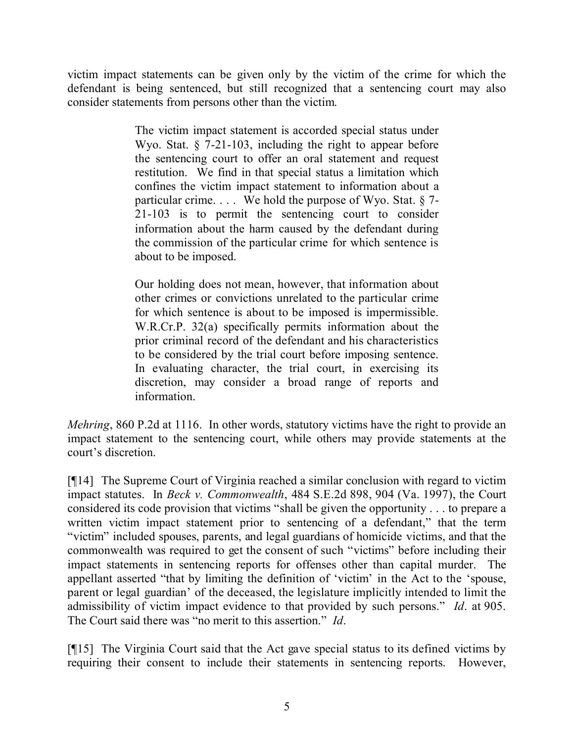victim impact statements can be given only by the victim of the crime for which the defendant is being sentenced, but still recognized that a sentencing court may also consider statements from persons other than the victim.

> The victim impact statement is accorded special status under Wyo. Stat. § 7-21-103, including the right to appear before the sentencing court to offer an oral statement and request restitution. We find in that special status a limitation which confines the victim impact statement to information about a particular crime.  $\ldots$  We hold the purpose of Wyo. Stat. § 7-21-103 is to permit the sentencing court to consider information about the harm caused by the defendant during the commission of the particular crime for which sentence is about to be imposed.

> Our holding does not mean, however, that information about other crimes or convictions unrelated to the particular crime for which sentence is about to be imposed is impermissible. W.R.Cr.P. 32(a) specifically permits information about the prior criminal record of the defendant and his characteristics to be considered by the trial court before imposing sentence. In evaluating character, the trial court, in exercising its discretion, may consider a broad range of reports and information.

*Mehring*, 860 P.2d at 1116. In other words, statutory victims have the right to provide an impact statement to the sentencing court, while others may provide statements at the court's discretion.

[¶14] The Supreme Court of Virginia reached a similar conclusion with regard to victim impact statutes. In *Beck v. Commonwealth*, 484 S.E.2d 898, 904 (Va. 1997), the Court considered its code provision that victims "shall be given the opportunity . . . to prepare a written victim impact statement prior to sentencing of a defendant," that the term "victim" included spouses, parents, and legal guardians of homicide victims, and that the commonwealth was required to get the consent of such "victims" before including their impact statements in sentencing reports for offenses other than capital murder. The appellant asserted "that by limiting the definition of 'victim' in the Act to the 'spouse, parent or legal guardian' of the deceased, the legislature implicitly intended to limit the admissibility of victim impact evidence to that provided by such persons." *Id*. at 905. The Court said there was "no merit to this assertion." *Id*.

[¶15] The Virginia Court said that the Act gave special status to its defined victims by requiring their consent to include their statements in sentencing reports. However,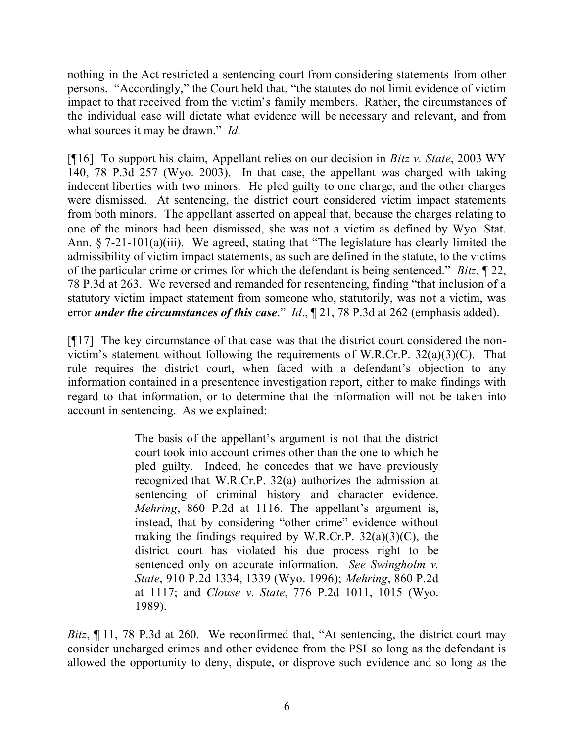nothing in the Act restricted a sentencing court from considering statements from other persons. "Accordingly," the Court held that, "the statutes do not limit evidence of victim impact to that received from the victim's family members. Rather, the circumstances of the individual case will dictate what evidence will be necessary and relevant, and from what sources it may be drawn." *Id*.

[¶16] To support his claim, Appellant relies on our decision in *Bitz v. State*, 2003 WY 140, 78 P.3d 257 (Wyo. 2003). In that case, the appellant was charged with taking indecent liberties with two minors. He pled guilty to one charge, and the other charges were dismissed. At sentencing, the district court considered victim impact statements from both minors. The appellant asserted on appeal that, because the charges relating to one of the minors had been dismissed, she was not a victim as defined by Wyo. Stat. Ann. § 7-21-101(a)(iii). We agreed, stating that "The legislature has clearly limited the admissibility of victim impact statements, as such are defined in the statute, to the victims of the particular crime or crimes for which the defendant is being sentenced." *Bitz*, ¶ 22, 78 P.3d at 263. We reversed and remanded for resentencing, finding "that inclusion of a statutory victim impact statement from someone who, statutorily, was not a victim, was error *under the circumstances of this case.*" *Id.*, 121, 78 P.3d at 262 (emphasis added).

[¶17] The key circumstance of that case was that the district court considered the nonvictim's statement without following the requirements of W.R.Cr.P.  $32(a)(3)(C)$ . That rule requires the district court, when faced with a defendant's objection to any information contained in a presentence investigation report, either to make findings with regard to that information, or to determine that the information will not be taken into account in sentencing. As we explained:

> The basis of the appellant's argument is not that the district court took into account crimes other than the one to which he pled guilty. Indeed, he concedes that we have previously recognized that W.R.Cr.P. 32(a) authorizes the admission at sentencing of criminal history and character evidence. *Mehring*, 860 P.2d at 1116. The appellant's argument is, instead, that by considering "other crime" evidence without making the findings required by W.R.Cr.P.  $32(a)(3)(C)$ , the district court has violated his due process right to be sentenced only on accurate information. *See Swingholm v. State*, 910 P.2d 1334, 1339 (Wyo. 1996); *Mehring*, 860 P.2d at 1117; and *Clouse v. State*, 776 P.2d 1011, 1015 (Wyo. 1989).

*Bitz*, 11, 78 P.3d at 260. We reconfirmed that, "At sentencing, the district court may consider uncharged crimes and other evidence from the PSI so long as the defendant is allowed the opportunity to deny, dispute, or disprove such evidence and so long as the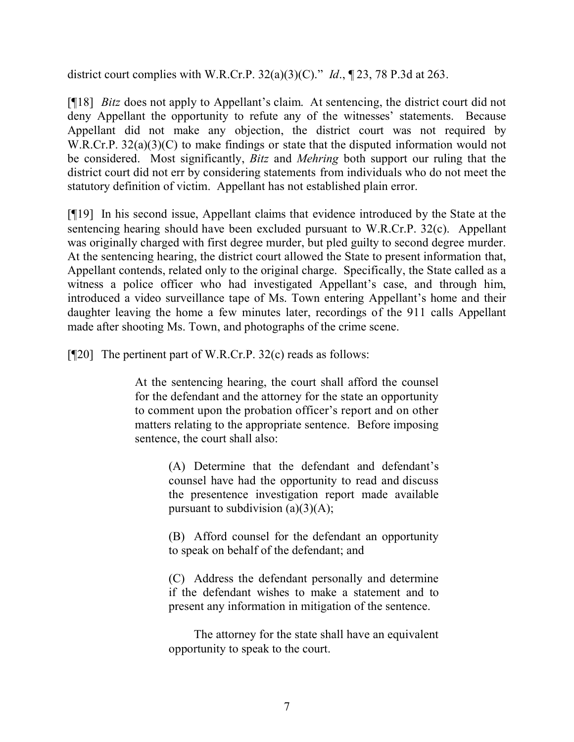district court complies with W.R.Cr.P. 32(a)(3)(C)." *Id*., ¶ 23, 78 P.3d at 263.

[¶18] *Bitz* does not apply to Appellant's claim. At sentencing, the district court did not deny Appellant the opportunity to refute any of the witnesses' statements. Because Appellant did not make any objection, the district court was not required by W.R.Cr.P. 32(a)(3)(C) to make findings or state that the disputed information would not be considered. Most significantly, *Bitz* and *Mehring* both support our ruling that the district court did not err by considering statements from individuals who do not meet the statutory definition of victim. Appellant has not established plain error.

[¶19] In his second issue, Appellant claims that evidence introduced by the State at the sentencing hearing should have been excluded pursuant to W.R.Cr.P. 32(c). Appellant was originally charged with first degree murder, but pled guilty to second degree murder. At the sentencing hearing, the district court allowed the State to present information that, Appellant contends, related only to the original charge. Specifically, the State called as a witness a police officer who had investigated Appellant's case, and through him, introduced a video surveillance tape of Ms. Town entering Appellant's home and their daughter leaving the home a few minutes later, recordings of the 911 calls Appellant made after shooting Ms. Town, and photographs of the crime scene.

 $[$ [[20] The pertinent part of W.R.Cr.P. 32(c) reads as follows:

At the sentencing hearing, the court shall afford the counsel for the defendant and the attorney for the state an opportunity to comment upon the probation officer's report and on other matters relating to the appropriate sentence. Before imposing sentence, the court shall also:

> (A) Determine that the defendant and defendant's counsel have had the opportunity to read and discuss the presentence investigation report made available pursuant to subdivision  $(a)(3)(A)$ ;

> (B) Afford counsel for the defendant an opportunity to speak on behalf of the defendant; and

> (C) Address the defendant personally and determine if the defendant wishes to make a statement and to present any information in mitigation of the sentence.

> The attorney for the state shall have an equivalent opportunity to speak to the court.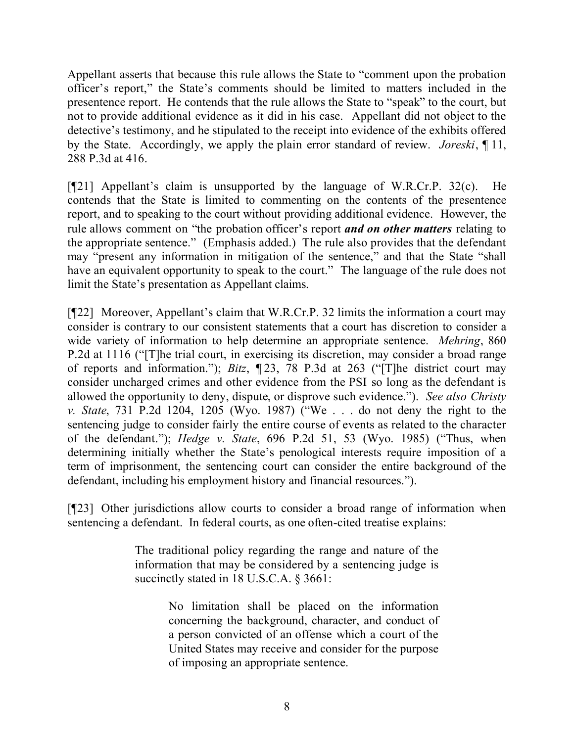Appellant asserts that because this rule allows the State to "comment upon the probation officer's report," the State's comments should be limited to matters included in the presentence report. He contends that the rule allows the State to "speak" to the court, but not to provide additional evidence as it did in his case. Appellant did not object to the detective's testimony, and he stipulated to the receipt into evidence of the exhibits offered by the State. Accordingly, we apply the plain error standard of review. *Joreski*, ¶ 11, 288 P.3d at 416.

[¶21] Appellant's claim is unsupported by the language of W.R.Cr.P. 32(c). He contends that the State is limited to commenting on the contents of the presentence report, and to speaking to the court without providing additional evidence. However, the rule allows comment on "the probation officer's report *and on other matters* relating to the appropriate sentence." (Emphasis added.) The rule also provides that the defendant may "present any information in mitigation of the sentence," and that the State "shall have an equivalent opportunity to speak to the court." The language of the rule does not limit the State's presentation as Appellant claims.

[¶22] Moreover, Appellant's claim that W.R.Cr.P. 32 limits the information a court may consider is contrary to our consistent statements that a court has discretion to consider a wide variety of information to help determine an appropriate sentence. *Mehring*, 860 P.2d at 1116 ("[T]he trial court, in exercising its discretion, may consider a broad range of reports and information."); *Bitz*, ¶ 23, 78 P.3d at 263 ("[T]he district court may consider uncharged crimes and other evidence from the PSI so long as the defendant is allowed the opportunity to deny, dispute, or disprove such evidence."). *See also Christy v. State*, 731 P.2d 1204, 1205 (Wyo. 1987) ("We . . . do not deny the right to the sentencing judge to consider fairly the entire course of events as related to the character of the defendant."); *Hedge v. State*, 696 P.2d 51, 53 (Wyo. 1985) ("Thus, when determining initially whether the State's penological interests require imposition of a term of imprisonment, the sentencing court can consider the entire background of the defendant, including his employment history and financial resources.").

[¶23] Other jurisdictions allow courts to consider a broad range of information when sentencing a defendant. In federal courts, as one often-cited treatise explains:

> The traditional policy regarding the range and nature of the information that may be considered by a sentencing judge is succinctly stated in 18 U.S.C.A. § 3661:

> > No limitation shall be placed on the information concerning the background, character, and conduct of a person convicted of an offense which a court of the United States may receive and consider for the purpose of imposing an appropriate sentence.